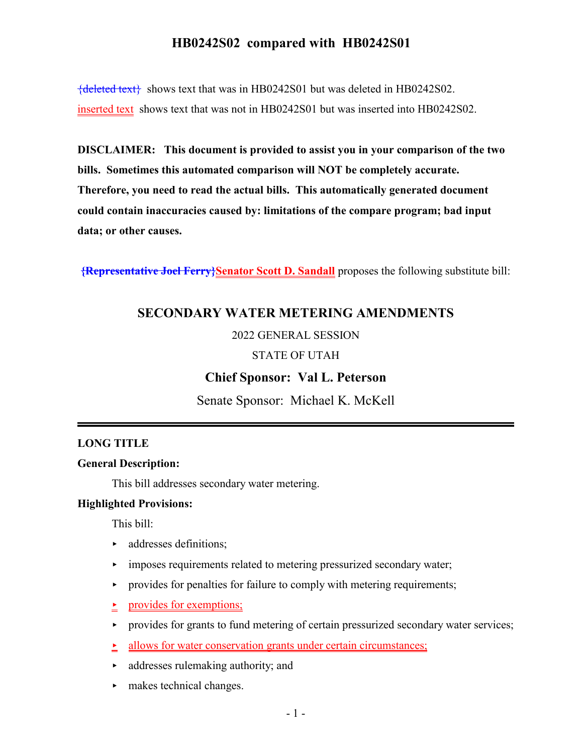${deleted text}$  shows text that was in HB0242S01 but was deleted in HB0242S02. inserted text shows text that was not in HB0242S01 but was inserted into HB0242S02.

**DISCLAIMER: This document is provided to assist you in your comparison of the two bills. Sometimes this automated comparison will NOT be completely accurate. Therefore, you need to read the actual bills. This automatically generated document could contain inaccuracies caused by: limitations of the compare program; bad input data; or other causes.**

**{Representative Joel Ferry}Senator Scott D. Sandall** proposes the following substitute bill:

## **SECONDARY WATER METERING AMENDMENTS**

#### 2022 GENERAL SESSION

#### STATE OF UTAH

### **Chief Sponsor: Val L. Peterson**

Senate Sponsor: Michael K. McKell

#### **LONG TITLE**

#### **General Description:**

This bill addresses secondary water metering.

#### **Highlighted Provisions:**

This bill:

- **addresses definitions;**
- **EXECUTE:** imposes requirements related to metering pressurized secondary water;
- $\rightarrow$  provides for penalties for failure to comply with metering requirements;
- provides for exemptions;
- $\rightarrow$  provides for grants to fund metering of certain pressurized secondary water services;
- $\geq$  allows for water conservation grants under certain circumstances;
- $\blacktriangleright$  addresses rulemaking authority; and
- **Following** makes technical changes.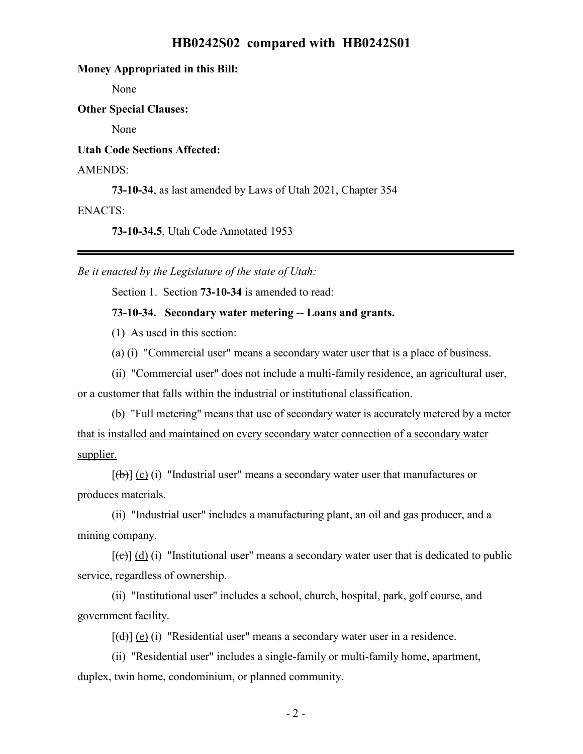#### **Money Appropriated in this Bill:**

None

**Other Special Clauses:**

None

**Utah Code Sections Affected:**

#### AMENDS:

**73-10-34**, as last amended by Laws of Utah 2021, Chapter 354

#### ENACTS:

**73-10-34.5**, Utah Code Annotated 1953

*Be it enacted by the Legislature of the state of Utah:*

Section 1. Section **73-10-34** is amended to read:

#### **73-10-34. Secondary water metering -- Loans and grants.**

(1) As used in this section:

(a) (i) "Commercial user" means a secondary water user that is a place of business.

(ii) "Commercial user" does not include a multi-family residence, an agricultural user,

or a customer that falls within the industrial or institutional classification.

(b) "Full metering" means that use of secondary water is accurately metered by a meter that is installed and maintained on every secondary water connection of a secondary water supplier.

 $[\text{fb}]$  (c) (i) "Industrial user" means a secondary water user that manufactures or produces materials.

(ii) "Industrial user" includes a manufacturing plant, an oil and gas producer, and a mining company.

 $[\text{f}\Theta]$  (d) (i) "Institutional user" means a secondary water user that is dedicated to public service, regardless of ownership.

(ii) "Institutional user" includes a school, church, hospital, park, golf course, and government facility.

 $[\overrightarrow{(d)}]$  (e) (i) "Residential user" means a secondary water user in a residence.

(ii) "Residential user" includes a single-family or multi-family home, apartment, duplex, twin home, condominium, or planned community.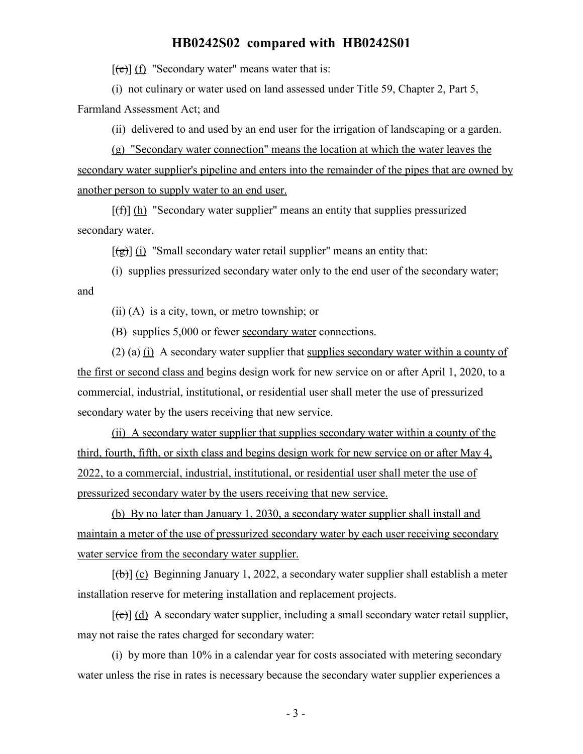$[\text{e}(\text{e})]$  (f) "Secondary water" means water that is:

(i) not culinary or water used on land assessed under Title 59, Chapter 2, Part 5,

Farmland Assessment Act; and

(ii) delivered to and used by an end user for the irrigation of landscaping or a garden.

(g) "Secondary water connection" means the location at which the water leaves the secondary water supplier's pipeline and enters into the remainder of the pipes that are owned by another person to supply water to an end user.

 $[f(f)]$  (h) "Secondary water supplier" means an entity that supplies pressurized secondary water.

 $[(\frac{1}{2})]$  (i) "Small secondary water retail supplier" means an entity that:

(i) supplies pressurized secondary water only to the end user of the secondary water; and

(ii) (A) is a city, town, or metro township; or

(B) supplies 5,000 or fewer secondary water connections.

(2) (a)  $(i)$  A secondary water supplier that supplies secondary water within a county of the first or second class and begins design work for new service on or after April 1, 2020, to a commercial, industrial, institutional, or residential user shall meter the use of pressurized secondary water by the users receiving that new service.

(ii) A secondary water supplier that supplies secondary water within a county of the third, fourth, fifth, or sixth class and begins design work for new service on or after May 4, 2022, to a commercial, industrial, institutional, or residential user shall meter the use of pressurized secondary water by the users receiving that new service.

(b) By no later than January 1, 2030, a secondary water supplier shall install and maintain a meter of the use of pressurized secondary water by each user receiving secondary water service from the secondary water supplier.

 $[(\theta)]$  (c) Beginning January 1, 2022, a secondary water supplier shall establish a meter installation reserve for metering installation and replacement projects.

 $[\text{e}(\epsilon)]$  (d) A secondary water supplier, including a small secondary water retail supplier, may not raise the rates charged for secondary water:

(i) by more than 10% in a calendar year for costs associated with metering secondary water unless the rise in rates is necessary because the secondary water supplier experiences a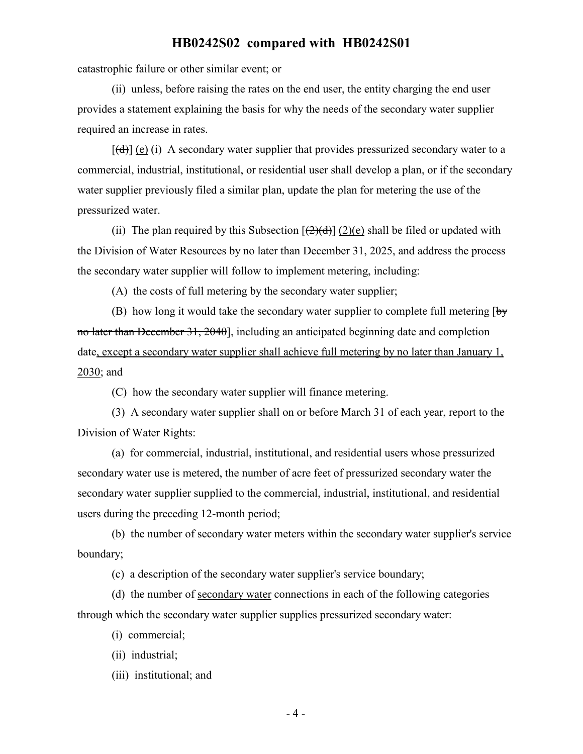catastrophic failure or other similar event; or

(ii) unless, before raising the rates on the end user, the entity charging the end user provides a statement explaining the basis for why the needs of the secondary water supplier required an increase in rates.

 $[\text{(\text{d})}]$  (e) (i) A secondary water supplier that provides pressurized secondary water to a commercial, industrial, institutional, or residential user shall develop a plan, or if the secondary water supplier previously filed a similar plan, update the plan for metering the use of the pressurized water.

(ii) The plan required by this Subsection  $[\frac{1}{2}](d)|$  (2)(e) shall be filed or updated with the Division of Water Resources by no later than December 31, 2025, and address the process the secondary water supplier will follow to implement metering, including:

(A) the costs of full metering by the secondary water supplier;

(B) how long it would take the secondary water supplier to complete full metering  $\overline{b}y$ no later than December 31, 2040], including an anticipated beginning date and completion date, except a secondary water supplier shall achieve full metering by no later than January 1, 2030; and

(C) how the secondary water supplier will finance metering.

(3) A secondary water supplier shall on or before March 31 of each year, report to the Division of Water Rights:

(a) for commercial, industrial, institutional, and residential users whose pressurized secondary water use is metered, the number of acre feet of pressurized secondary water the secondary water supplier supplied to the commercial, industrial, institutional, and residential users during the preceding 12-month period;

(b) the number of secondary water meters within the secondary water supplier's service boundary;

(c) a description of the secondary water supplier's service boundary;

(d) the number of secondary water connections in each of the following categories through which the secondary water supplier supplies pressurized secondary water:

(i) commercial;

(ii) industrial;

(iii) institutional; and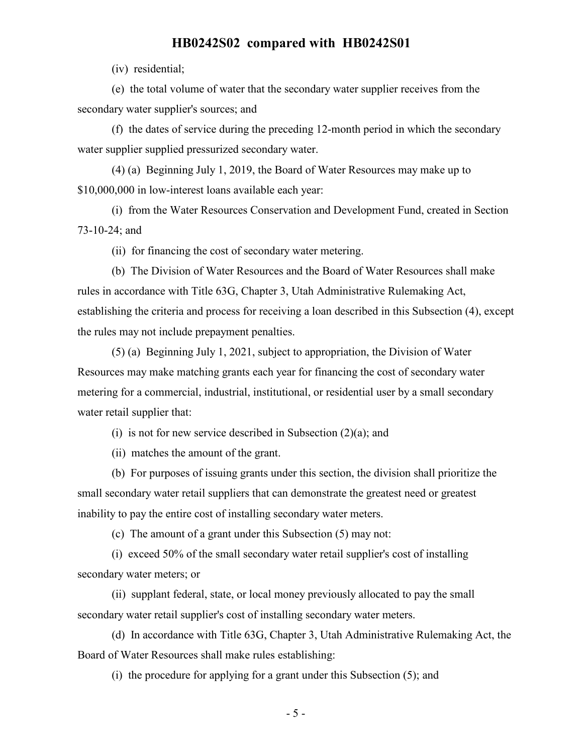(iv) residential;

(e) the total volume of water that the secondary water supplier receives from the secondary water supplier's sources; and

(f) the dates of service during the preceding 12-month period in which the secondary water supplier supplied pressurized secondary water.

(4) (a) Beginning July 1, 2019, the Board of Water Resources may make up to \$10,000,000 in low-interest loans available each year:

(i) from the Water Resources Conservation and Development Fund, created in Section 73-10-24; and

(ii) for financing the cost of secondary water metering.

(b) The Division of Water Resources and the Board of Water Resources shall make rules in accordance with Title 63G, Chapter 3, Utah Administrative Rulemaking Act, establishing the criteria and process for receiving a loan described in this Subsection (4), except the rules may not include prepayment penalties.

(5) (a) Beginning July 1, 2021, subject to appropriation, the Division of Water Resources may make matching grants each year for financing the cost of secondary water metering for a commercial, industrial, institutional, or residential user by a small secondary water retail supplier that:

(i) is not for new service described in Subsection  $(2)(a)$ ; and

(ii) matches the amount of the grant.

(b) For purposes of issuing grants under this section, the division shall prioritize the small secondary water retail suppliers that can demonstrate the greatest need or greatest inability to pay the entire cost of installing secondary water meters.

(c) The amount of a grant under this Subsection (5) may not:

(i) exceed 50% of the small secondary water retail supplier's cost of installing secondary water meters; or

(ii) supplant federal, state, or local money previously allocated to pay the small secondary water retail supplier's cost of installing secondary water meters.

(d) In accordance with Title 63G, Chapter 3, Utah Administrative Rulemaking Act, the Board of Water Resources shall make rules establishing:

(i) the procedure for applying for a grant under this Subsection (5); and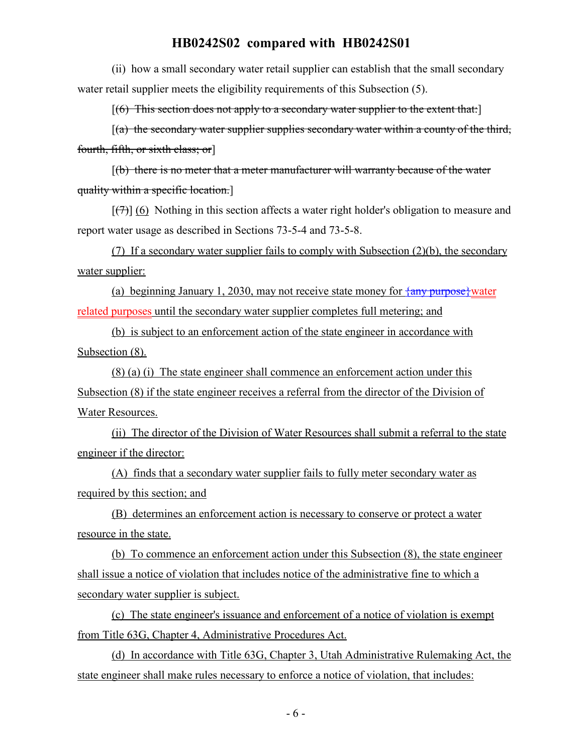(ii) how a small secondary water retail supplier can establish that the small secondary water retail supplier meets the eligibility requirements of this Subsection (5).

 $[(6)$  This section does not apply to a secondary water supplier to the extent that:

 $[(a)$  the secondary water supplier supplies secondary water within a county of the third, fourth, fifth, or sixth class; or]

 $[(b)$  there is no meter that a meter manufacturer will warranty because of the water quality within a specific location.]

 $[\overline{(+)}]$  (6) Nothing in this section affects a water right holder's obligation to measure and report water usage as described in Sections 73-5-4 and 73-5-8.

(7) If a secondary water supplier fails to comply with Subsection (2)(b), the secondary water supplier:

(a) beginning January 1, 2030, may not receive state money for  $\frac{2m}{\pi}$  purpose water related purposes until the secondary water supplier completes full metering; and

(b) is subject to an enforcement action of the state engineer in accordance with Subsection (8).

(8) (a) (i) The state engineer shall commence an enforcement action under this Subsection (8) if the state engineer receives a referral from the director of the Division of Water Resources.

(ii) The director of the Division of Water Resources shall submit a referral to the state engineer if the director:

(A) finds that a secondary water supplier fails to fully meter secondary water as required by this section; and

(B) determines an enforcement action is necessary to conserve or protect a water resource in the state.

(b) To commence an enforcement action under this Subsection (8), the state engineer shall issue a notice of violation that includes notice of the administrative fine to which a secondary water supplier is subject.

(c) The state engineer's issuance and enforcement of a notice of violation is exempt from Title 63G, Chapter 4, Administrative Procedures Act.

(d) In accordance with Title 63G, Chapter 3, Utah Administrative Rulemaking Act, the state engineer shall make rules necessary to enforce a notice of violation, that includes: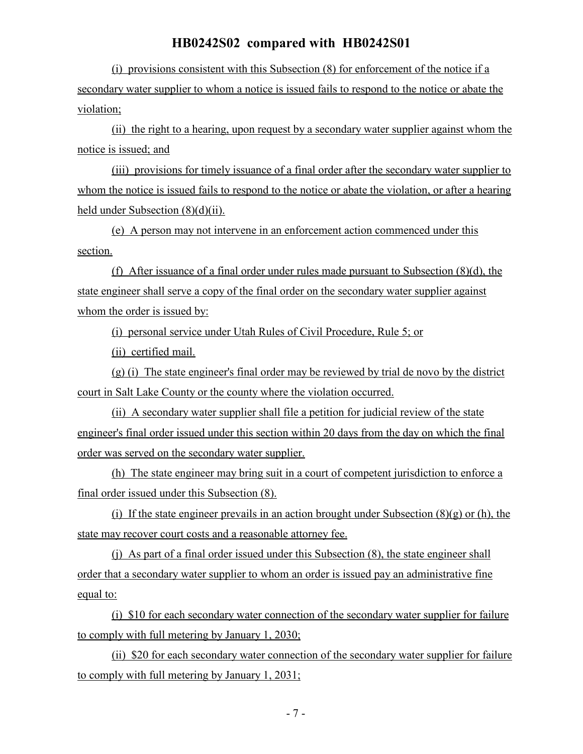(i) provisions consistent with this Subsection (8) for enforcement of the notice if a secondary water supplier to whom a notice is issued fails to respond to the notice or abate the violation;

(ii) the right to a hearing, upon request by a secondary water supplier against whom the notice is issued; and

(iii) provisions for timely issuance of a final order after the secondary water supplier to whom the notice is issued fails to respond to the notice or abate the violation, or after a hearing held under Subsection (8)(d)(ii).

(e) A person may not intervene in an enforcement action commenced under this section.

(f) After issuance of a final order under rules made pursuant to Subsection (8)(d), the state engineer shall serve a copy of the final order on the secondary water supplier against whom the order is issued by:

(i) personal service under Utah Rules of Civil Procedure, Rule 5; or

(ii) certified mail.

(g) (i) The state engineer's final order may be reviewed by trial de novo by the district court in Salt Lake County or the county where the violation occurred.

(ii) A secondary water supplier shall file a petition for judicial review of the state engineer's final order issued under this section within 20 days from the day on which the final order was served on the secondary water supplier.

(h) The state engineer may bring suit in a court of competent jurisdiction to enforce a final order issued under this Subsection (8).

(i) If the state engineer prevails in an action brought under Subsection  $(8)(g)$  or (h), the state may recover court costs and a reasonable attorney fee.

(j) As part of a final order issued under this Subsection (8), the state engineer shall order that a secondary water supplier to whom an order is issued pay an administrative fine equal to:

(i) \$10 for each secondary water connection of the secondary water supplier for failure to comply with full metering by January 1, 2030;

(ii) \$20 for each secondary water connection of the secondary water supplier for failure to comply with full metering by January 1, 2031;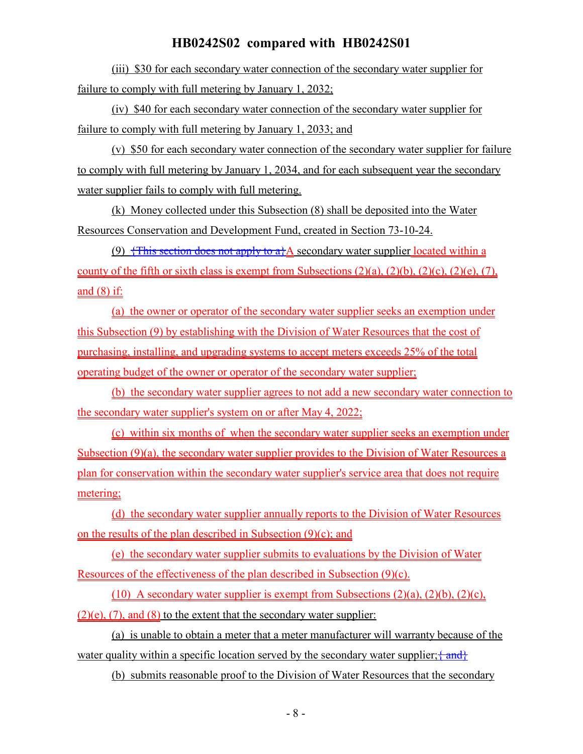(iii) \$30 for each secondary water connection of the secondary water supplier for failure to comply with full metering by January 1, 2032;

(iv) \$40 for each secondary water connection of the secondary water supplier for failure to comply with full metering by January 1, 2033; and

(v) \$50 for each secondary water connection of the secondary water supplier for failure to comply with full metering by January 1, 2034, and for each subsequent year the secondary water supplier fails to comply with full metering.

(k) Money collected under this Subsection (8) shall be deposited into the Water Resources Conservation and Development Fund, created in Section 73-10-24.

(9)  $\frac{1}{2}$  This section does not apply to a  $A$  secondary water supplier located within a county of the fifth or sixth class is exempt from Subsections  $(2)(a)$ ,  $(2)(b)$ ,  $(2)(c)$ ,  $(2)(e)$ ,  $(7)$ , and  $(8)$  if:

(a) the owner or operator of the secondary water supplier seeks an exemption under this Subsection (9) by establishing with the Division of Water Resources that the cost of purchasing, installing, and upgrading systems to accept meters exceeds 25% of the total operating budget of the owner or operator of the secondary water supplier;

(b) the secondary water supplier agrees to not add a new secondary water connection to the secondary water supplier's system on or after May 4, 2022;

(c) within six months of when the secondary water supplier seeks an exemption under Subsection (9)(a), the secondary water supplier provides to the Division of Water Resources a plan for conservation within the secondary water supplier's service area that does not require metering;

(d) the secondary water supplier annually reports to the Division of Water Resources on the results of the plan described in Subsection (9)(c); and

(e) the secondary water supplier submits to evaluations by the Division of Water Resources of the effectiveness of the plan described in Subsection (9)(c).

(10) A secondary water supplier is exempt from Subsections  $(2)(a)$ ,  $(2)(b)$ ,  $(2)(c)$ ,  $(2)(e)$ ,  $(7)$ , and  $(8)$  to the extent that the secondary water supplier:

(a) is unable to obtain a meter that a meter manufacturer will warranty because of the water quality within a specific location served by the secondary water supplier;  $\{\text{and}\}$ 

(b) submits reasonable proof to the Division of Water Resources that the secondary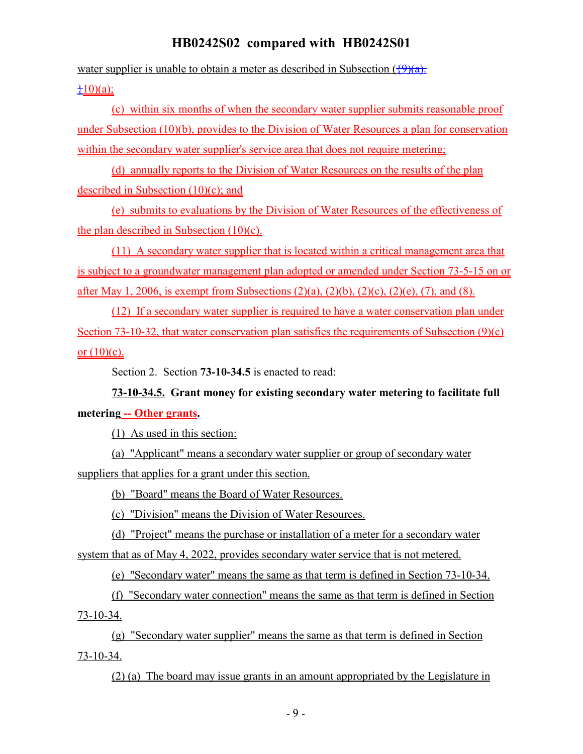water supplier is unable to obtain a meter as described in Subsection  $(\sqrt{9})(a)$ .

## $\pm 10$ )(a);

(c) within six months of when the secondary water supplier submits reasonable proof under Subsection (10)(b), provides to the Division of Water Resources a plan for conservation within the secondary water supplier's service area that does not require metering;

(d) annually reports to the Division of Water Resources on the results of the plan described in Subsection (10)(c); and

(e) submits to evaluations by the Division of Water Resources of the effectiveness of the plan described in Subsection (10)(c).

(11) A secondary water supplier that is located within a critical management area that is subject to a groundwater management plan adopted or amended under Section 73-5-15 on or after May 1, 2006, is exempt from Subsections  $(2)(a)$ ,  $(2)(b)$ ,  $(2)(c)$ ,  $(2)(e)$ ,  $(7)$ , and  $(8)$ .

(12) If a secondary water supplier is required to have a water conservation plan under Section 73-10-32, that water conservation plan satisfies the requirements of Subsection (9)(c) or  $(10)(c)$ .

Section 2. Section **73-10-34.5** is enacted to read:

# **73-10-34.5. Grant money for existing secondary water metering to facilitate full metering -- Other grants.**

(1) As used in this section:

(a) "Applicant" means a secondary water supplier or group of secondary water suppliers that applies for a grant under this section.

(b) "Board" means the Board of Water Resources.

(c) "Division" means the Division of Water Resources.

(d) "Project" means the purchase or installation of a meter for a secondary water system that as of May 4, 2022, provides secondary water service that is not metered.

(e) "Secondary water" means the same as that term is defined in Section 73-10-34.

(f) "Secondary water connection" means the same as that term is defined in Section 73-10-34.

(g) "Secondary water supplier" means the same as that term is defined in Section 73-10-34.

(2) (a) The board may issue grants in an amount appropriated by the Legislature in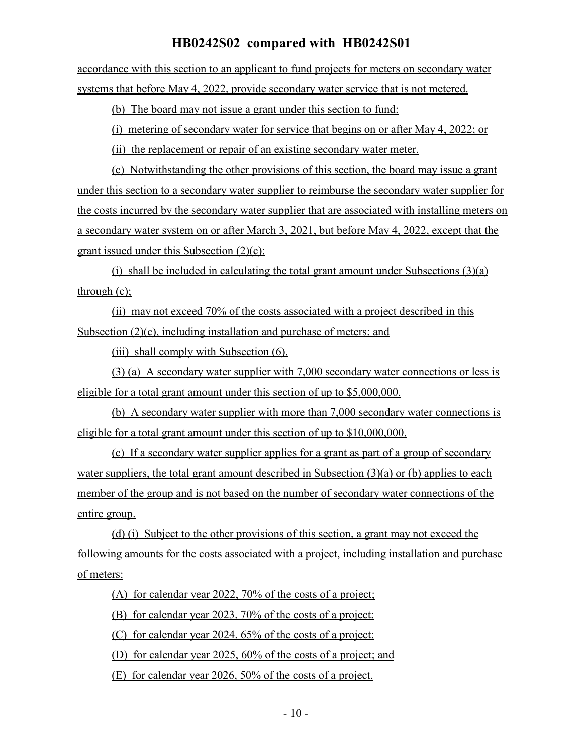accordance with this section to an applicant to fund projects for meters on secondary water systems that before May 4, 2022, provide secondary water service that is not metered.

(b) The board may not issue a grant under this section to fund:

(i) metering of secondary water for service that begins on or after May 4, 2022; or

(ii) the replacement or repair of an existing secondary water meter.

(c) Notwithstanding the other provisions of this section, the board may issue a grant under this section to a secondary water supplier to reimburse the secondary water supplier for the costs incurred by the secondary water supplier that are associated with installing meters on a secondary water system on or after March 3, 2021, but before May 4, 2022, except that the grant issued under this Subsection (2)(c):

(i) shall be included in calculating the total grant amount under Subsections (3)(a) through (c);

(ii) may not exceed 70% of the costs associated with a project described in this Subsection (2)(c), including installation and purchase of meters; and

(iii) shall comply with Subsection (6).

(3) (a) A secondary water supplier with 7,000 secondary water connections or less is eligible for a total grant amount under this section of up to \$5,000,000.

(b) A secondary water supplier with more than 7,000 secondary water connections is eligible for a total grant amount under this section of up to \$10,000,000.

(c) If a secondary water supplier applies for a grant as part of a group of secondary water suppliers, the total grant amount described in Subsection (3)(a) or (b) applies to each member of the group and is not based on the number of secondary water connections of the entire group.

(d) (i) Subject to the other provisions of this section, a grant may not exceed the following amounts for the costs associated with a project, including installation and purchase of meters:

(A) for calendar year 2022, 70% of the costs of a project;

(B) for calendar year 2023, 70% of the costs of a project;

(C) for calendar year 2024, 65% of the costs of a project;

(D) for calendar year 2025, 60% of the costs of a project; and

(E) for calendar year 2026, 50% of the costs of a project.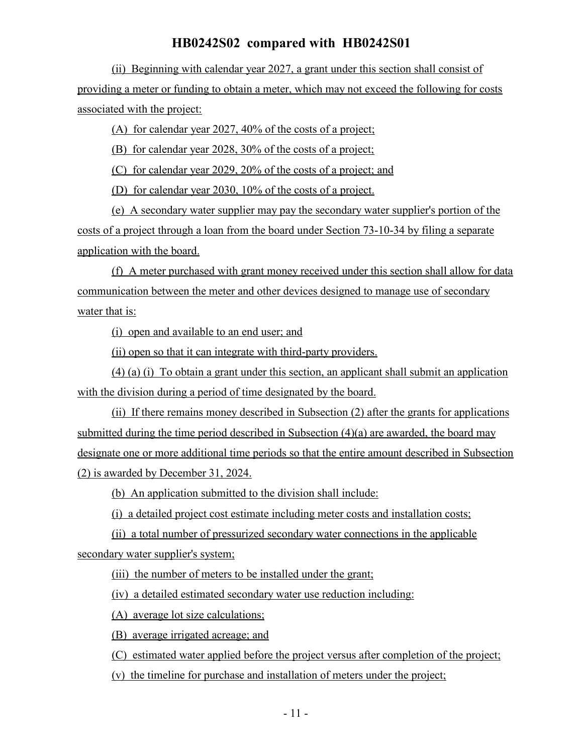(ii) Beginning with calendar year 2027, a grant under this section shall consist of providing a meter or funding to obtain a meter, which may not exceed the following for costs associated with the project:

(A) for calendar year 2027, 40% of the costs of a project;

(B) for calendar year 2028, 30% of the costs of a project;

(C) for calendar year 2029, 20% of the costs of a project; and

(D) for calendar year 2030, 10% of the costs of a project.

(e) A secondary water supplier may pay the secondary water supplier's portion of the costs of a project through a loan from the board under Section 73-10-34 by filing a separate application with the board.

(f) A meter purchased with grant money received under this section shall allow for data communication between the meter and other devices designed to manage use of secondary water that is:

(i) open and available to an end user; and

(ii) open so that it can integrate with third-party providers.

(4) (a) (i) To obtain a grant under this section, an applicant shall submit an application with the division during a period of time designated by the board.

(ii) If there remains money described in Subsection (2) after the grants for applications submitted during the time period described in Subsection (4)(a) are awarded, the board may designate one or more additional time periods so that the entire amount described in Subsection (2) is awarded by December 31, 2024.

(b) An application submitted to the division shall include:

(i) a detailed project cost estimate including meter costs and installation costs;

(ii) a total number of pressurized secondary water connections in the applicable secondary water supplier's system;

(iii) the number of meters to be installed under the grant;

(iv) a detailed estimated secondary water use reduction including:

(A) average lot size calculations;

(B) average irrigated acreage; and

(C) estimated water applied before the project versus after completion of the project;

(v) the timeline for purchase and installation of meters under the project;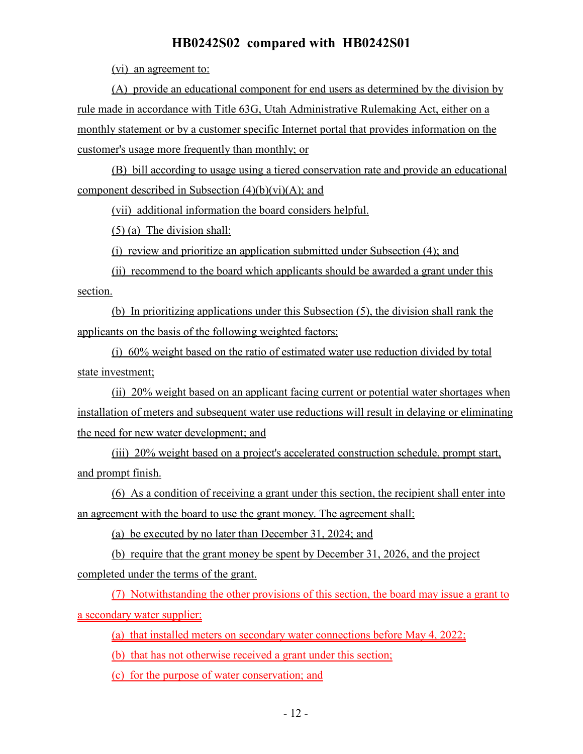(vi) an agreement to:

(A) provide an educational component for end users as determined by the division by rule made in accordance with Title 63G, Utah Administrative Rulemaking Act, either on a monthly statement or by a customer specific Internet portal that provides information on the customer's usage more frequently than monthly; or

(B) bill according to usage using a tiered conservation rate and provide an educational component described in Subsection  $(4)(b)(vi)(A)$ ; and

(vii) additional information the board considers helpful.

(5) (a) The division shall:

(i) review and prioritize an application submitted under Subsection (4); and

(ii) recommend to the board which applicants should be awarded a grant under this section.

(b) In prioritizing applications under this Subsection (5), the division shall rank the applicants on the basis of the following weighted factors:

(i) 60% weight based on the ratio of estimated water use reduction divided by total state investment:

(ii) 20% weight based on an applicant facing current or potential water shortages when installation of meters and subsequent water use reductions will result in delaying or eliminating the need for new water development; and

(iii) 20% weight based on a project's accelerated construction schedule, prompt start, and prompt finish.

(6) As a condition of receiving a grant under this section, the recipient shall enter into an agreement with the board to use the grant money. The agreement shall:

(a) be executed by no later than December 31, 2024; and

(b) require that the grant money be spent by December 31, 2026, and the project completed under the terms of the grant.

(7) Notwithstanding the other provisions of this section, the board may issue a grant to a secondary water supplier:

(a) that installed meters on secondary water connections before May 4, 2022;

(b) that has not otherwise received a grant under this section;

(c) for the purpose of water conservation; and